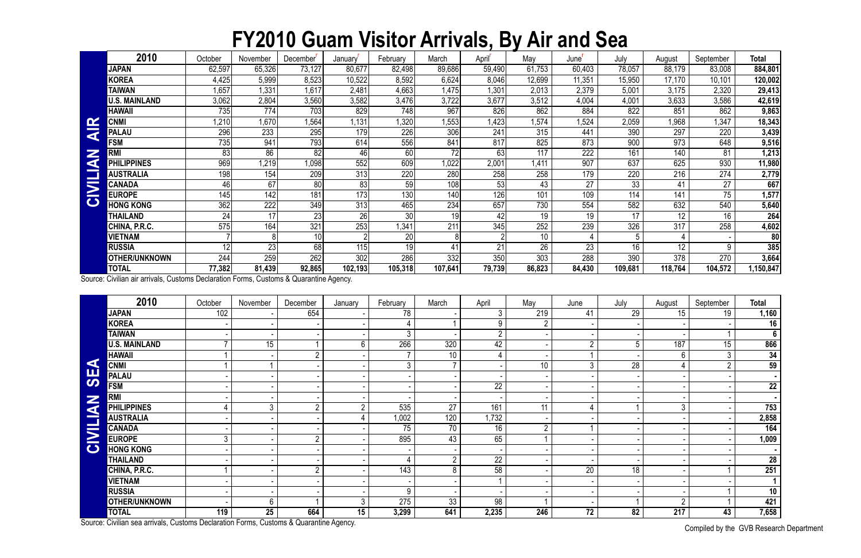## **FY2010 Guam Visitor Arrivals, By Air and Sea**

Compiled by the GVB Research Department

|                       | 2010                 | October | November        | December' | January | February | March            | April  | May    | June'  | July        | August  | September    | <b>Total</b>    |
|-----------------------|----------------------|---------|-----------------|-----------|---------|----------|------------------|--------|--------|--------|-------------|---------|--------------|-----------------|
|                       | <b>JAPAN</b>         | 62,597  | 65,326          | 73,127    | 80,677  | 82,498   | 89,686           | 59,490 | 61,753 | 60,403 | 78,057      | 88,179  | 83,008       | 884,801         |
|                       | <b>KOREA</b>         | 4,425   | 5,999           | 8,523     | 10,522  | 8,592    | 6,624            | 8,046  | 12,699 | 11,351 | 15,950      | 17,170  | 10,101       | 120,002         |
|                       | <b>TAIWAN</b>        | 1,657   | 1,331           | 1,617     | 2,481   | 4,663    | 1,475            | 1,301  | 2,013  | 2,379  | 5,001       | 3,175   | 2,320        | 29,413          |
|                       | <b>U.S. MAINLAND</b> | 3,062   | 2,804           | 3,560     | 3,582   | 3,476    | 3,722            | 3,677  | 3,512  | 4,004  | 4,001       | 3,633   | 3,586        | 42,619          |
|                       | <b>HAWAII</b>        | 735     | 774)            | 703       | 829     | 748      | 967              | 826    | 862    | 884    | 822         | 851     | 862          | 9,863           |
|                       | <b>CNMI</b>          | 1,210   | 1,670           | 1,564     | 1,131   | ,320     | 1,553            | 1,423  | 1,574  | 1,524  | 2,059       | 1,968   | $\sqrt{347}$ | 18,343          |
| ď                     | <b>PALAU</b>         | 296     | 233             | 295       | 179     | 226      | 306              | 241    | 315    | 441    | 390         | 297     | 220          | 3,439           |
|                       | <b>FSM</b>           | 735     | 941             | 793       | 614     | 556      | 841              | 817    | 825    | 873    | 900         | 973     | 648          | 9,516           |
| Z<br>G                | <b>RMI</b>           | 83      | 86              | 82        | 46      | 60       | 72               | 63     | 117    | 222    | 161         | 140     | 81           | 1,213           |
|                       | <b>PHILIPPINES</b>   | 969     | 1,219           | 1,098     | 552     | 609      | 1,022            | 2,001  | 1,411  | 907    | 637         | 625     | 930          | 11,980          |
|                       | <b>AUSTRALIA</b>     | 198     | 154             | 209       | 313     | 220      | 280              | 258    | 258    | 179    | 220         | 216     | 274          | 2,779           |
| $\blacktriangleright$ | <b>CANADA</b>        | 46      | 67              | 80        | 83      | 59       | 108              | 53     | 43     | 27     | 33          | 41      | 27           | 667             |
|                       | <b>EUROPE</b>        | 145     | 142             | 181       | 173     | 130      | 140              | 126    | 101    | 109    | 114         | 141     | 75           | 1,577           |
| $\mathbf C$           | <b>HONG KONG</b>     | 362     | 222             | 349       | 313     | 465      | 234              | 657    | 730    | 554    | 582         | 632     | 540          | 5,640           |
|                       | THAILAND             | 24      | 17              | 23        | 26      | 30       | 19               | 42     | 19     | 19     | 17          | 12      | 16           | 264             |
|                       | CHINA, P.R.C.        | 575     | 164             | 321       | 253     | ,341     | 211              | 345    | 252    | 239    | 326         | 317     | 258          | 4,602           |
|                       | <b>VIETNAM</b>       |         |                 | 10        |         | 20       |                  |        | 10     |        | $5^{\circ}$ |         |              | 80 <sup>2</sup> |
|                       | <b>RUSSIA</b>        | 12      | $\overline{23}$ | 68        | 115     | 19       | 41               | 21     | 26     | 23     | 16          | 12      | 9            | 385             |
|                       | <b>OTHER/UNKNOWN</b> | 244     | 259             | 262       | 302     | 286      | $\overline{332}$ | 350    | 303    | 288    | 390         | 378     | 270          | 3,664           |
|                       | <b>TOTAL</b>         | 77,382  | 81,439          | 92,865    | 102,193 | 105,318  | 107,641          | 79,739 | 86,823 | 84,430 | 109,681     | 118,764 | 104,572      | 1,150,847       |

| $\mathbf{\alpha}$ | <b>CNMI</b>                                                                            | 210, ا           | 1,670           | 1,564            | 1,131           | 1,320           | 1,553          | 1,423           | 1,574           | 1,524           | 2,059           | 1,968           | 1,347           | 18,343                 |
|-------------------|----------------------------------------------------------------------------------------|------------------|-----------------|------------------|-----------------|-----------------|----------------|-----------------|-----------------|-----------------|-----------------|-----------------|-----------------|------------------------|
| ₹                 | <b>PALAU</b>                                                                           | 296              | 233             | 295              | 179             | 226             | 306            | 241             | 315             | 441             | 390             | 297             | 220             | 3,439                  |
|                   | <b>FSM</b>                                                                             | 735              | 941             | 793              | 614             | 556             | 841            | 817             | 825             | 873             | 900             | 973             | 648             | 9,516                  |
| Z<br>K            | <b>RMI</b>                                                                             | 83               | 86              | 82               | 46              | 60              | 72             | 63              | 117             | 222             | 161             | 140             | 81              | 1,213                  |
|                   | <b>PHILIPPINES</b>                                                                     | 969              | 1,219           | 1,098            | 552             | 609             | 1,022          | 2,001           | .411            | 907             | 637             | 625             | 930             | 11,980                 |
|                   | <b>AUSTRALIA</b>                                                                       | 198              | 154             | 209              | 313             | 220             | 280            | 258             | 258             | 179             | 220             | 216             | 274             | 2,779                  |
|                   | <b>CANADA</b>                                                                          | 46               | 67              | 80               | 83              | 59              | 108            | 53              | 43              | $\overline{27}$ | $\overline{33}$ | 41              | 27              | 667                    |
| <b>CIVILI</b>     | <b>EUROPE</b>                                                                          | 145              | 142             | 181              | 173             | 130             | 140            | 126             | 101             | 109             | 114             | 141             | 75              | 1,577                  |
|                   | <b>HONG KONG</b>                                                                       | 362              | 222             | 349              | 313             | 465             | 234            | 657             | 730             | 554             | 582             | 632             | 540             | 5,640                  |
|                   | <b>THAILAND</b>                                                                        | 24               | $\overline{17}$ | $\overline{23}$  | $\overline{26}$ | 30 <sup>°</sup> | 19             | 42              | 19              | 19              | 17              | 12 <sup>°</sup> | $\overline{16}$ | 264                    |
|                   | CHINA, P.R.C.                                                                          | 575              | 164             | 321              | 253             | 1,341           | 211            | 345             | 252             | 239             | 326             | 317             | 258             | 4,602                  |
|                   | <b>VIETNAM</b>                                                                         |                  | 8 <sup>1</sup>  | 10 <sup>1</sup>  |                 | 20              | 8              |                 | 10              | 4               | 5               | 4               |                 | 80                     |
|                   | <b>RUSSIA</b>                                                                          | 12               | $\overline{23}$ | 68               | 115             | $\overline{19}$ | 41             | 21              | $\overline{26}$ | $\overline{23}$ | $\overline{16}$ | $\overline{12}$ | 9               | 385                    |
|                   | <b>OTHER/UNKNOWN</b>                                                                   | $\overline{244}$ | 259             | $\overline{262}$ | 302             | 286             | 332            | 350             | 303             | 288             | 390             | 378             | 270             | 3,664                  |
|                   | <b>TOTAL</b>                                                                           | 77,382           | 81,439          | 92,865           | 102, 193        | 105,318         | 107,641        | 79,739          | 86,823          | 84,430          | 109,681         | 118,764         | 104,572         | 1,150,847              |
|                   | Source: Civilian air arrivals, Customs Declaration Forms, Customs & Quarantine Agency. |                  |                 |                  |                 |                 |                |                 |                 |                 |                 |                 |                 |                        |
|                   | 2010                                                                                   | October          | November        | December         | January         | February        | March          | April           | May             | June            | July            | August          | September       | <b>Total</b>           |
|                   | <b>JAPAN</b>                                                                           | 102              |                 | 654              |                 | 78              |                | 3               | 219             | 41              | $\overline{29}$ | 15              | 19              | 1,160                  |
|                   | <b>KOREA</b>                                                                           |                  |                 |                  |                 | 4               |                | 9               | $\overline{2}$  |                 |                 |                 |                 | 16                     |
|                   | <b>TAIWAN</b>                                                                          |                  |                 |                  |                 | 3               |                | $\overline{2}$  |                 |                 |                 |                 |                 | $6\phantom{1}$         |
|                   | <b>U.S. MAINLAND</b>                                                                   |                  | 15              |                  | 6               | 266             | 320            | 42              |                 | $\overline{2}$  | 5               | 187             | $\overline{15}$ | 866                    |
|                   | <b>HAWAII</b>                                                                          |                  |                 | $2^{\circ}$      |                 | 7               | 10             | 4               |                 | $\mathbf 1$     |                 | $6\overline{6}$ | $\mathfrak{Z}$  | 34                     |
| K                 | <b>CNMI</b>                                                                            |                  |                 |                  |                 | $\mathfrak{Z}$  | $\overline{7}$ |                 | 10              | $\mathfrak{Z}$  | 28              | 4               | $\overline{2}$  | 59                     |
| <b>SE</b>         | <b>PALAU</b>                                                                           |                  |                 |                  |                 |                 |                |                 |                 |                 |                 |                 |                 |                        |
|                   | <b>FSM</b>                                                                             |                  |                 |                  |                 |                 |                | 22              |                 |                 |                 |                 |                 | 22                     |
|                   | <b>RMI</b>                                                                             |                  |                 |                  |                 |                 |                |                 |                 |                 |                 |                 |                 |                        |
|                   | <b>PHILIPPINES</b>                                                                     |                  | $\mathfrak{Z}$  | $\overline{2}$   | $\overline{2}$  | 535             | 27             | 161             | 11              | 4               |                 | $\mathfrak{Z}$  |                 | 753                    |
| <b>NAITIL</b>     | <b>AUSTRALIA</b>                                                                       |                  |                 |                  |                 | 1,002           | 120            | 1,732           |                 |                 |                 |                 |                 | 2,858                  |
|                   | <b>CANADA</b>                                                                          |                  |                 |                  |                 | 75              | 70             | 16              | $\overline{2}$  |                 |                 |                 |                 | 164                    |
| $\mathbf{Z}$      | <b>EUROPE</b>                                                                          | 3                |                 | $\overline{2}$   |                 | 895             | 43             | 65              |                 |                 |                 |                 |                 | 1,009                  |
| $\bullet$         | <b>HONG KONG</b>                                                                       |                  |                 |                  |                 |                 |                |                 |                 |                 |                 |                 |                 |                        |
|                   | <b>THAILAND</b>                                                                        |                  |                 |                  |                 |                 | $\overline{2}$ | 22              |                 |                 |                 |                 |                 | 28                     |
|                   | CHINA, P.R.C.                                                                          |                  |                 | $\overline{2}$   |                 | 143             | 8              | $\overline{58}$ |                 | $\overline{20}$ | 18              |                 |                 | 251                    |
|                   | <b>VIETNAM</b>                                                                         |                  |                 |                  |                 |                 |                |                 |                 |                 |                 |                 |                 | $\mathbf{1}$           |
|                   | <b>RUSSIA</b>                                                                          |                  |                 |                  |                 | 9               |                |                 |                 |                 |                 |                 |                 | 10                     |
|                   | <b>OTHER/UNKNOWN</b>                                                                   |                  | $6 \,$          |                  | 3               | 275             | 33             | 98              |                 |                 |                 | $\overline{2}$  |                 | 421                    |
|                   | <b>TOTAL</b>                                                                           | 119              | 25              | 664              | 15              | 3,299           | 641            | 2,235           | 246             | 72              | 82              | 217             | 43              | 7,658                  |
|                   | Source: Civilian sea arrivals, Customs Declaration Forms, Customs & Quarantine Agency. |                  |                 |                  |                 |                 |                |                 |                 |                 |                 |                 |                 | $\bigcap$ in $\bigcap$ |